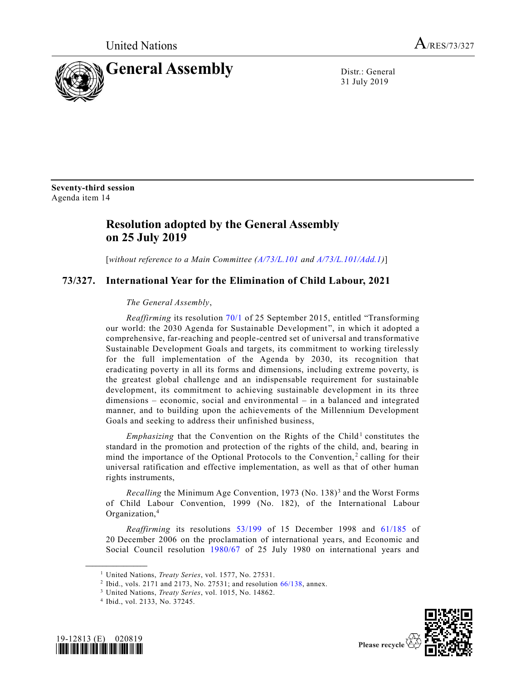

31 July 2019

**Seventy-third session** Agenda item 14

## **Resolution adopted by the General Assembly on 25 July 2019**

[*without reference to a Main Committee (A/73/L.101 and A/73/L.101/Add.1)*]

## **73/327. International Year for the Elimination of Child Labour, 2021**

## *The General Assembly*,

*Reaffirming* its resolution 70/1 of 25 September 2015, entitled "Transforming our world: the 2030 Agenda for Sustainable Development ", in which it adopted a comprehensive, far-reaching and people-centred set of universal and transformative Sustainable Development Goals and targets, its commitment to working tirelessly for the full implementation of the Agenda by 2030, its recognition that eradicating poverty in all its forms and dimensions, including extreme poverty, is the greatest global challenge and an indispensable requirement for sustainable development, its commitment to achieving sustainable development in its three dimensions – economic, social and environmental – in a balanced and integrated manner, and to building upon the achievements of the Millennium Development Goals and seeking to address their unfinished business,

*Emphasizing* that the Convention on the Rights of the Child<sup>1</sup> constitutes the standard in the promotion and protection of the rights of the child, and, bearing in mind the importance of the Optional Protocols to the Convention,<sup>2</sup> calling for their universal ratification and effective implementation, as well as that of other human rights instruments,

Recalling the Minimum Age Convention, 1973 (No. 138)<sup>3</sup> and the Worst Forms of Child Labour Convention, 1999 (No. 182), of the International Labour Organization,<sup>4</sup>

*Reaffirming* its resolutions 53/199 of 15 December 1998 and 61/185 of 20 December 2006 on the proclamation of international years, and Economic and Social Council resolution 1980/67 of 25 July 1980 on international years and

<sup>4</sup> Ibid., vol. 2133, No. 37245.



**\_\_\_\_\_\_\_\_\_\_\_\_\_\_\_\_\_\_**



<sup>1</sup> United Nations, *Treaty Series*, vol. 1577, No. 27531.

<sup>&</sup>lt;sup>2</sup> Ibid., vols. 2171 and 2173, No. 27531; and resolution 66/138, annex.

<sup>3</sup> United Nations, *Treaty Series*, vol. 1015, No. 14862.